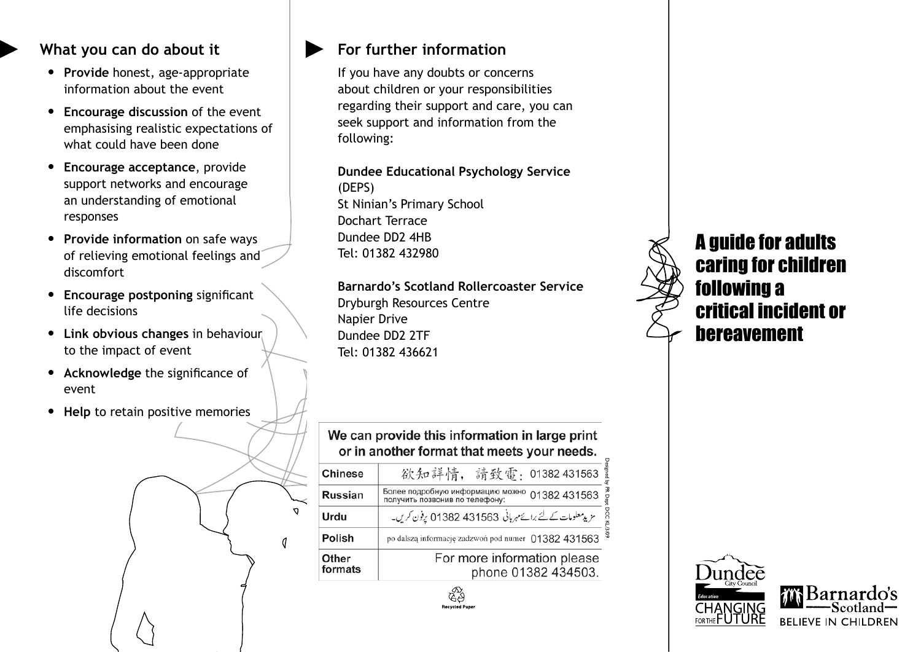#### **What you can do about it**

- • **Provide** honest, age-appropriate information about the event
- • **Encourage discussion** of the event emphasising realistic expectations of what could have been done
- • **Encourage acceptance**, provide support networks and encourage an understanding of emotional responses
- • **Provide information** on safe ways of relieving emotional feelings and discomfort
- • **Encourage postponing** significant life decisions
- • **Link obvious changes** in behaviour to the impact of event
- • **Acknowledge** the significance of event
- • **Help** to retain positive memories



#### **For further information**

If you have any doubts or concerns about children or your responsibilities regarding their support and care, you can seek support and information from the following:

**Dundee Educational Psychology Service** (DEPS) St Ninian's Primary School Dochart Terrace Dundee DD2 4HB Tel: 01382 432980

**Barnardo's Scotland Rollercoaster Service** Dryburgh Resources Centre Napier Drive Dundee DD2 2TF Tel: 01382 436621

### We can provide this information in large print or in another format that meets your needs.

| <b>Chinese</b>   | Designed<br>I<br>欲知詳情, 請致雷: 01382 431563                                                   |
|------------------|--------------------------------------------------------------------------------------------|
| <b>Russian</b>   | PR Dept<br>Более подробную информацию можно 01382 431563<br>получить позвонив по телефону: |
| Urdu             | DCC KL/3/09<br>مزید معلومات کے لئے برائے مہربانی 431563 43382 یون کریں۔                    |
| Polish           | po dalszą informację zadzwoń pod numer 01382 431563                                        |
| Other<br>formats | For more information please<br>phone 01382 434503.                                         |

**Recycled Pa** 



A guide for adults caring for children following a critical incident or bereavement